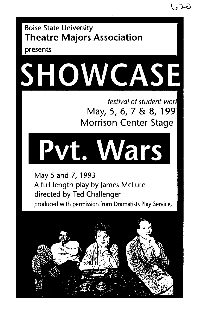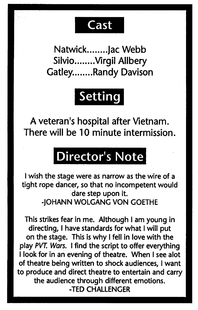### **Cast**

Natwick........ Jac Webb Silvio........ Virgil Allbery Gatley........Randy Davison

# Setting

A veteran's hospital after Vietnam. There will be 10 minute intermission.

# Director's Note

I wish the stage were as narrow as the wire of <sup>a</sup> tight rope dancer, so that no incompetent would dare step upon it. -JOHANN WOLGANG VON GOETHE

This strikes fear in me. Although I am young in directing, I have standards for what I will put on the stage. This is why I fell in love with the play PVT. Wars. I find the script to offer everything I look for in an evening of theatre. When I see alot of theatre being written to shock audiences, I want to produce and direct theatre to entertain and carry the audience through different emotions. -TED CHALLENGER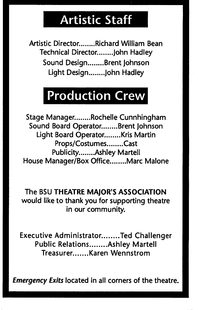### Artistic Staff

Artistic Director........Richard William Bean Technical Director ........ John Hadley Sound Design........Brent Johnson Light Design........ John Hadley

## Production Crew

Stage Manager........Rochelle Cunnhingham. Sound Board Operator.......Brent Johnson Light Board Operator........ Kris Martin Props/Costumes........Cast Publicity........Ashley Martell House Manager/Box Office.......Marc Malone

The BSU THEATRE MAJOR'S ASSOCIATION would like to thank you for supporting theatre in our community.

Executive Administrator........Ted Challenger Public Relations........ Ashley Martell Treasurer........ Karen Wennstrom

Emergency Exits located in all corners of the theatre.